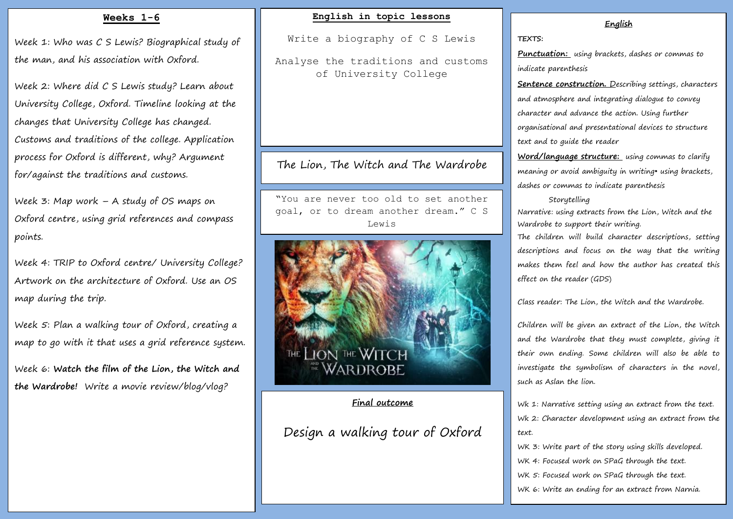# **Weeks 1-6**

Week 1: Who was C S Lewis? Biographical study of the man, and his association with Oxford.

Week 2: Where did C S Lewis study? Learn about University College, Oxford. Timeline looking at the changes that University College has changed. Customs and traditions of the college. Application process for Oxford is different, why? Argument for/against the traditions and customs.

Week 3: Map work – A study of OS maps on Oxford centre, using grid references and compass points.

Week 4: TRIP to Oxford centre/ University College? Artwork on the architecture of Oxford. Use an OS map during the trip.

Week 5: Plan a walking tour of Oxford, creating a map to go with it that uses a grid reference system.

Week 6: **Watch the film of the Lion, the Witch and the Wardrobe!** Write a movie review/blog/vlog?

# **English in topic lessons**

Write a biography of C S Lewis

Analyse the traditions and customs of University College

# The Lion, The Witch and The Wardrobe

"You are never too old to set another goal, or to dream another dream." C S Lewis



# **Final outcome**

Design a walking tour of Oxford

#### **English**

#### **TEXTS:**

**Punctuation:** using brackets, dashes or commas to indicate parenthesis

**Sentence construction.** Describing settings, characters and atmosphere and integrating dialogue to convey character and advance the action. Using further organisational and presentational devices to structure text and to guide the reader

**Word/language structure:** using commas to clarify meaning or avoid ambiguity in writing• using brackets, dashes or commas to indicate parenthesis

#### Storytelling

Narrative: using extracts from the Lion, Witch and the Wardrobe to support their writing.

The children will build character descriptions, setting descriptions and focus on the way that the writing makes them feel and how the author has created this effect on the reader (GDS)

Class reader: The Lion, the Witch and the Wardrobe.

Children will be given an extract of the Lion, the Witch and the Wardrobe that they must complete, giving it their own ending. Some children will also be able to investigate the symbolism of characters in the novel, such as Aslan the lion.

Wk 1: Narrative setting using an extract from the text. Wk 2: Character development using an extract from the text.

WK 3: Write part of the story using skills developed. WK 4: Focused work on SPaG through the text. WK 5: Focused work on SPaG through the text. WK 6: Write an ending for an extract from Narnia.